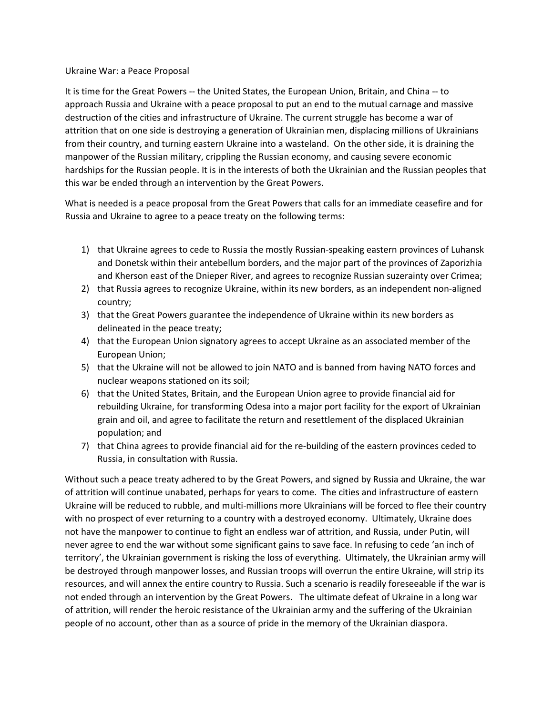## Ukraine War: a Peace Proposal

It is time for the Great Powers -- the United States, the European Union, Britain, and China -- to approach Russia and Ukraine with a peace proposal to put an end to the mutual carnage and massive destruction of the cities and infrastructure of Ukraine. The current struggle has become a war of attrition that on one side is destroying a generation of Ukrainian men, displacing millions of Ukrainians from their country, and turning eastern Ukraine into a wasteland. On the other side, it is draining the manpower of the Russian military, crippling the Russian economy, and causing severe economic hardships for the Russian people. It is in the interests of both the Ukrainian and the Russian peoples that this war be ended through an intervention by the Great Powers.

What is needed is a peace proposal from the Great Powers that calls for an immediate ceasefire and for Russia and Ukraine to agree to a peace treaty on the following terms:

- 1) that Ukraine agrees to cede to Russia the mostly Russian-speaking eastern provinces of Luhansk and Donetsk within their antebellum borders, and the major part of the provinces of Zaporizhia and Kherson east of the Dnieper River, and agrees to recognize Russian suzerainty over Crimea;
- 2) that Russia agrees to recognize Ukraine, within its new borders, as an independent non-aligned country;
- 3) that the Great Powers guarantee the independence of Ukraine within its new borders as delineated in the peace treaty;
- 4) that the European Union signatory agrees to accept Ukraine as an associated member of the European Union;
- 5) that the Ukraine will not be allowed to join NATO and is banned from having NATO forces and nuclear weapons stationed on its soil;
- 6) that the United States, Britain, and the European Union agree to provide financial aid for rebuilding Ukraine, for transforming Odesa into a major port facility for the export of Ukrainian grain and oil, and agree to facilitate the return and resettlement of the displaced Ukrainian population; and
- 7) that China agrees to provide financial aid for the re-building of the eastern provinces ceded to Russia, in consultation with Russia.

Without such a peace treaty adhered to by the Great Powers, and signed by Russia and Ukraine, the war of attrition will continue unabated, perhaps for years to come. The cities and infrastructure of eastern Ukraine will be reduced to rubble, and multi-millions more Ukrainians will be forced to flee their country with no prospect of ever returning to a country with a destroyed economy. Ultimately, Ukraine does not have the manpower to continue to fight an endless war of attrition, and Russia, under Putin, will never agree to end the war without some significant gains to save face. In refusing to cede 'an inch of territory', the Ukrainian government is risking the loss of everything. Ultimately, the Ukrainian army will be destroyed through manpower losses, and Russian troops will overrun the entire Ukraine, will strip its resources, and will annex the entire country to Russia. Such a scenario is readily foreseeable if the war is not ended through an intervention by the Great Powers. The ultimate defeat of Ukraine in a long war of attrition, will render the heroic resistance of the Ukrainian army and the suffering of the Ukrainian people of no account, other than as a source of pride in the memory of the Ukrainian diaspora.